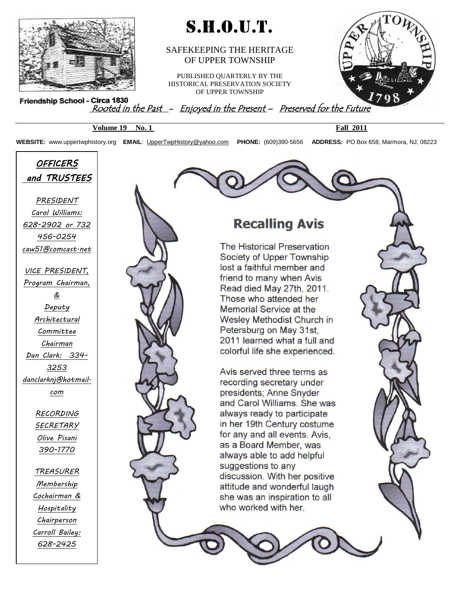

## S.H.O.U.T.

#### SAFEKEEPING THE HERITAGE OF UPPER TOWNSHIP

PUBLISHED QUARTERLY BY THE HISTORICAL PRESERVATION SOCIETY OF UPPER TOWNSHIP



Friendship School - Circa 1830<br>Rooted in the Past - Enjoyed in the Present - Preserved for the Future

**Volume 19 No. 1 Fall 2011**

**WEBSITE:** www.uppertwphistory.org **EMAIL**: [UpperTwpHistory@yahoo.com](http://www.UpperTwpHistory@yahoo.com/) **PHONE:** (609)390-5656 **ADDRESS:** PO Box 658, Marmora, NJ, 08223

*OFFICERS and TRUSTEES* 

*PRESIDENT Carol Williams: 628-2902 or 732 456-0254 caw51@comcast.net*

*VICE PRESIDENT, Program Chairman, & Deputy Architectural Committee Chairman Dan Clark: 334- 3253 danclarknj@hotmail. com*

> *RECORDING SECRETARY Olive Pisani 390-1770*

*TREASURER Membership Cochairman & Hospitality Chairperson Carroll Bailey: 628-2425*

*CORRESPONDING* 



### **Recalling Avis**

The Historical Preservation Society of Upper Township lost a faithful member and friend to many when Avis Read died May 27th, 2011. Those who attended her Memorial Service at the Wesley Methodist Church in Petersburg on May 31st, 2011 learned what a full and colorful life she experienced.

Avis served three terms as recording secretary under presidents; Anne Snyder and Carol Williams. She was always ready to participate in her 19th Century costume for any and all events. Avis. as a Board Member, was always able to add helpful suggestions to any discussion. With her positive attitude and wonderful laugh she was an inspiration to all who worked with her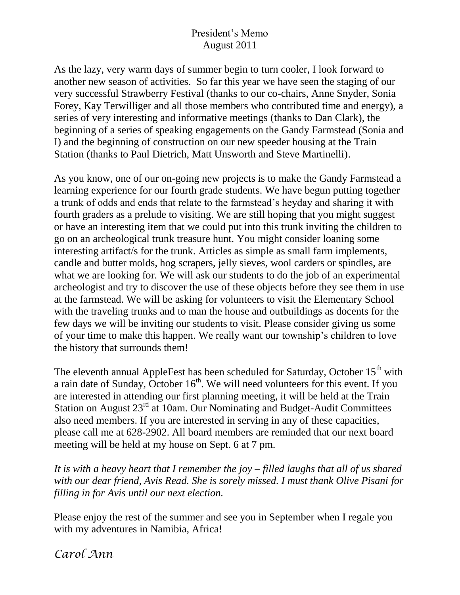#### President's Memo August 2011

As the lazy, very warm days of summer begin to turn cooler, I look forward to another new season of activities. So far this year we have seen the staging of our very successful Strawberry Festival (thanks to our co-chairs, Anne Snyder, Sonia Forey, Kay Terwilliger and all those members who contributed time and energy), a series of very interesting and informative meetings (thanks to Dan Clark), the beginning of a series of speaking engagements on the Gandy Farmstead (Sonia and I) and the beginning of construction on our new speeder housing at the Train Station (thanks to Paul Dietrich, Matt Unsworth and Steve Martinelli).

As you know, one of our on-going new projects is to make the Gandy Farmstead a learning experience for our fourth grade students. We have begun putting together a trunk of odds and ends that relate to the farmstead's heyday and sharing it with fourth graders as a prelude to visiting. We are still hoping that you might suggest or have an interesting item that we could put into this trunk inviting the children to go on an archeological trunk treasure hunt. You might consider loaning some interesting artifact/s for the trunk. Articles as simple as small farm implements, candle and butter molds, hog scrapers, jelly sieves, wool carders or spindles, are what we are looking for. We will ask our students to do the job of an experimental archeologist and try to discover the use of these objects before they see them in use at the farmstead. We will be asking for volunteers to visit the Elementary School with the traveling trunks and to man the house and outbuildings as docents for the few days we will be inviting our students to visit. Please consider giving us some of your time to make this happen. We really want our township's children to love the history that surrounds them!

The eleventh annual AppleFest has been scheduled for Saturday, October 15<sup>th</sup> with a rain date of Sunday, October  $16<sup>th</sup>$ . We will need volunteers for this event. If you are interested in attending our first planning meeting, it will be held at the Train Station on August  $23<sup>rd</sup>$  at 10am. Our Nominating and Budget-Audit Committees also need members. If you are interested in serving in any of these capacities, please call me at 628-2902. All board members are reminded that our next board meeting will be held at my house on Sept. 6 at 7 pm.

*It is with a heavy heart that I remember the joy – filled laughs that all of us shared with our dear friend, Avis Read. She is sorely missed. I must thank Olive Pisani for filling in for Avis until our next election.*

Please enjoy the rest of the summer and see you in September when I regale you with my adventures in Namibia, Africa!

*Carol Ann*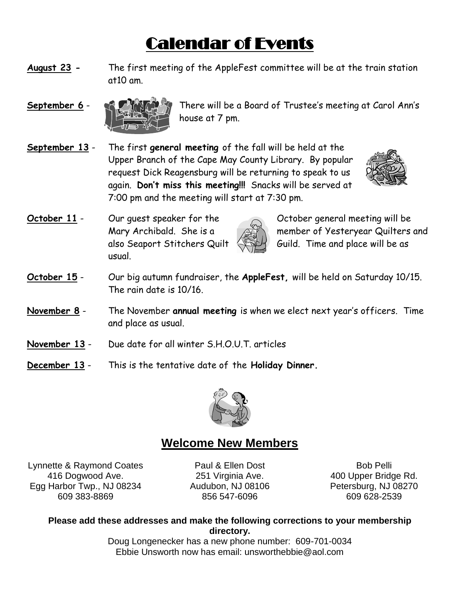# Calendar of Events

- **August 23 -** The first meeting of the AppleFest committee will be at the train station at10 am.
- 



**September 6** - There will be a Board of Trustee's meeting at Carol Ann's house at 7 pm.

**September 13** - The first **general meeting** of the fall will be held at the Upper Branch of the Cape May County Library. By popular request Dick Reagensburg will be returning to speak to us again. **Don't miss this meeting!!!** Snacks will be served at 7:00 pm and the meeting will start at 7:30 pm.



**October 11** - Our quest speaker for the  $\sim$  October general meeting will be usual.



Mary Archibald. She is a **the set of Sesteryear Quilters and** also Seaport Stitchers Quilt  $\leftarrow$  Guild. Time and place will be as

- **October 15** Our big autumn fundraiser, the **AppleFest,** will be held on Saturday 10/15. The rain date is 10/16.
- **November 8** The November **annual meeting** is when we elect next year's officers. Time and place as usual.
- **November 13** Due date for all winter S.H.O.U.T. articles
- **December 13** This is the tentative date of the **Holiday Dinner.**



### **Welcome New Members**

Lynnette & Raymond Coates 416 Dogwood Ave. Egg Harbor Twp., NJ 08234 609 383-8869

Paul & Ellen Dost 251 Virginia Ave. Audubon, NJ 08106 856 547-6096

Bob Pelli 400 Upper Bridge Rd. Petersburg, NJ 08270 609 628-2539

**Please add these addresses and make the following corrections to your membership directory.**

> Doug Longenecker has a new phone number: 609-701-0034 Ebbie Unsworth now has email: unsworthebbie@aol.com